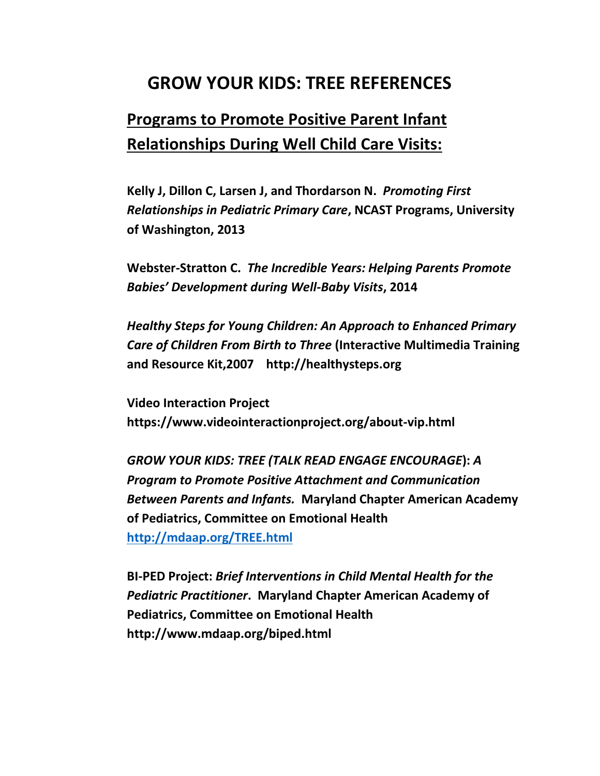### **GROW YOUR KIDS: TREE REFERENCES**

## **Programs to Promote Positive Parent Infant Relationships During Well Child Care Visits:**

**Kelly J, Dillon C, Larsen J, and Thordarson N.** *Promoting First Relationships in Pediatric Primary Care***, NCAST Programs, University of Washington, 2013**

**Webster-Stratton C.** *The Incredible Years: Helping Parents Promote Babies' Development during Well-Baby Visits***, 2014** 

*Healthy Steps for Young Children: An Approach to Enhanced Primary Care of Children From Birth to Three* **(Interactive Multimedia Training and Resource Kit,2007 http://healthysteps.org** 

**Video Interaction Project https://www.videointeractionproject.org/about-vip.html**

*GROW YOUR KIDS: TREE (TALK READ ENGAGE ENCOURAGE***):** *A Program to Promote Positive Attachment and Communication Between Parents and Infants.* **Maryland Chapter American Academy of Pediatrics, Committee on Emotional Health <http://mdaap.org/TREE.html>**

**BI-PED Project:** *Brief Interventions in Child Mental Health for the Pediatric Practitioner***. Maryland Chapter American Academy of Pediatrics, Committee on Emotional Health http://www.mdaap.org/biped.html**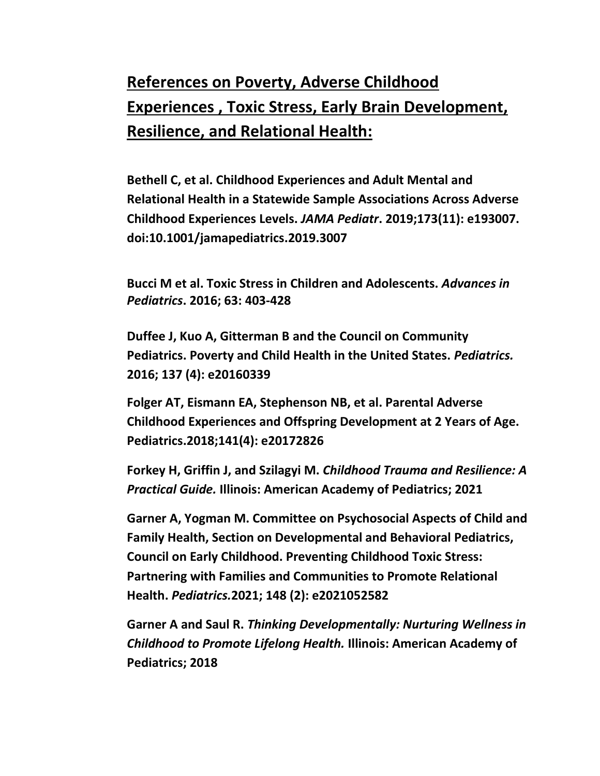# **References on Poverty, Adverse Childhood Experiences , Toxic Stress, Early Brain Development, Resilience, and Relational Health:**

**Bethell C, et al. Childhood Experiences and Adult Mental and Relational Health in a Statewide Sample Associations Across Adverse Childhood Experiences Levels.** *JAMA Pediatr***. 2019;173(11): e193007. doi:10.1001/jamapediatrics.2019.3007**

**Bucci M et al. Toxic Stress in Children and Adolescents.** *Advances in Pediatrics***. 2016; 63: 403-428**

**Duffee J, Kuo A, Gitterman B and the Council on Community Pediatrics. Poverty and Child Health in the United States.** *Pediatrics.* **2016; 137 (4): e20160339**

**Folger AT, Eismann EA, Stephenson NB, et al. Parental Adverse Childhood Experiences and Offspring Development at 2 Years of Age. Pediatrics.2018;141(4): e20172826**

**Forkey H, Griffin J, and Szilagyi M.** *Childhood Trauma and Resilience: A Practical Guide.* **Illinois: American Academy of Pediatrics; 2021**

**Garner A, Yogman M. Committee on Psychosocial Aspects of Child and Family Health, Section on Developmental and Behavioral Pediatrics, Council on Early Childhood. Preventing Childhood Toxic Stress: Partnering with Families and Communities to Promote Relational Health.** *Pediatrics.***2021; 148 (2): e2021052582**

**Garner A and Saul R.** *Thinking Developmentally: Nurturing Wellness in Childhood to Promote Lifelong Health.* **Illinois: American Academy of Pediatrics; 2018**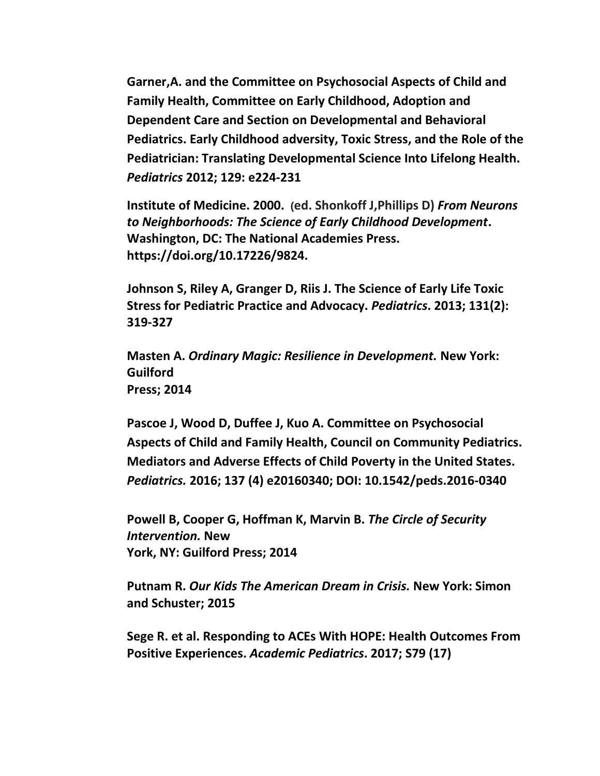**Garner,A. and the Committee on Psychosocial Aspects of Child and Family Health, Committee on Early Childhood, Adoption and Dependent Care and Section on Developmental and Behavioral Pediatrics. Early Childhood adversity, Toxic Stress, and the Role of the Pediatrician: Translating Developmental Science Into Lifelong Health.**  *Pediatrics* **2012; 129: e224-231**

**Institute of Medicine. 2000. (ed. Shonkoff J,Phillips D)** *From Neurons to Neighborhoods: The Science of Early Childhood Development***. Washington, DC: The National Academies Press. https://doi.org/10.17226/9824.**

**Johnson S, Riley A, Granger D, Riis J. The Science of Early Life Toxic Stress for Pediatric Practice and Advocacy.** *Pediatrics***. 2013; 131(2): 319-327**

**Masten A.** *Ordinary Magic: Resilience in Development.* **New York: Guilford Press; 2014**

**Pascoe J, Wood D, Duffee J, Kuo A. Committee on Psychosocial Aspects of Child and Family Health, Council on Community Pediatrics. Mediators and Adverse Effects of Child Poverty in the United States.**  *Pediatrics.* **2016; 137 (4) e20160340; DOI: 10.1542/peds.2016-0340**

**Powell B, Cooper G, Hoffman K, Marvin B.** *The Circle of Security Intervention.* **New York, NY: Guilford Press; 2014**

**Putnam R.** *Our Kids The American Dream in Crisis.* **New York: Simon and Schuster; 2015**

**Sege R. et al. Responding to ACEs With HOPE: Health Outcomes From Positive Experiences.** *Academic Pediatrics***. 2017; S79 (17)**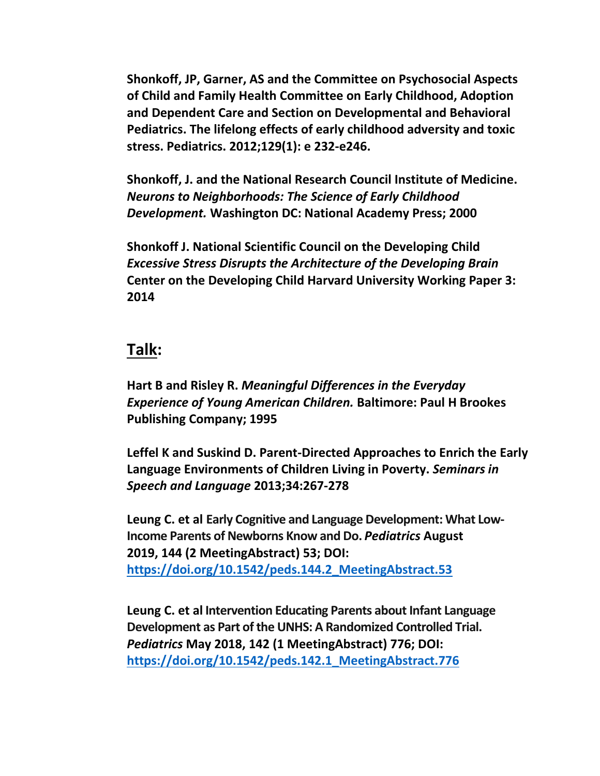**Shonkoff, JP, Garner, AS and the Committee on Psychosocial Aspects of Child and Family Health Committee on Early Childhood, Adoption and Dependent Care and Section on Developmental and Behavioral Pediatrics. The lifelong effects of early childhood adversity and toxic stress. Pediatrics. 2012;129(1): e 232-e246.**

**Shonkoff, J. and the National Research Council Institute of Medicine.** *Neurons to Neighborhoods: The Science of Early Childhood Development.* **Washington DC: National Academy Press; 2000**

**Shonkoff J. National Scientific Council on the Developing Child**  *Excessive Stress Disrupts the Architecture of the Developing Brain*  **Center on the Developing Child Harvard University Working Paper 3: 2014**

#### **Talk:**

**Hart B and Risley R.** *Meaningful Differences in the Everyday Experience of Young American Children.* **Baltimore: Paul H Brookes Publishing Company; 1995**

**Leffel K and Suskind D. Parent-Directed Approaches to Enrich the Early Language Environments of Children Living in Poverty.** *Seminars in Speech and Language* **2013;34:267-278**

**Leung C. et al Early Cognitive and Language Development: What Low-Income Parents of Newborns Know and Do.** *Pediatrics* **August 2019, 144 (2 MeetingAbstract) 53; DOI: [https://doi.org/10.1542/peds.144.2\\_MeetingAbstract.53](https://doi.org/10.1542/peds.144.2_MeetingAbstract.53)**

**Leung C. et al Intervention Educating Parents about Infant Language Development as Part of the UNHS: A Randomized Controlled Trial.**  *Pediatrics* **May 2018, 142 (1 MeetingAbstract) 776; DOI: [https://doi.org/10.1542/peds.142.1\\_MeetingAbstract.776](https://doi.org/10.1542/peds.142.1_MeetingAbstract.776)**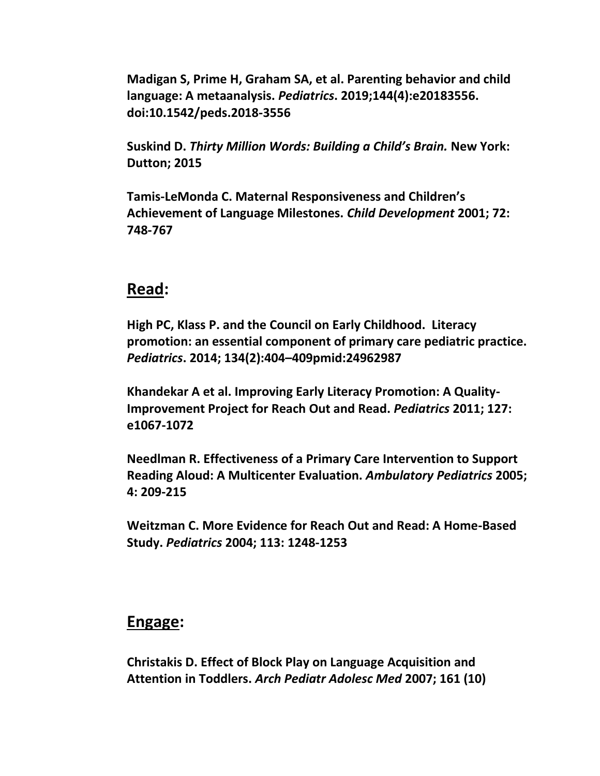**Madigan S, Prime H, Graham SA, et al. Parenting behavior and child language: A metaanalysis.** *Pediatrics***. 2019;144(4):e20183556. doi:10.1542/peds.2018-3556**

**Suskind D.** *Thirty Million Words: Building a Child's Brain.* **New York: Dutton; 2015**

**Tamis-LeMonda C. Maternal Responsiveness and Children's Achievement of Language Milestones.** *Child Development* **2001; 72: 748-767**

#### **Read:**

**High PC, Klass P. and the Council on Early Childhood. Literacy promotion: an essential component of primary care pediatric practice.**  *Pediatrics***. 2014; 134(2):404–409pmid:24962987** 

**Khandekar A et al. Improving Early Literacy Promotion: A Quality-Improvement Project for Reach Out and Read.** *Pediatrics* **2011; 127: e1067-1072**

**Needlman R. Effectiveness of a Primary Care Intervention to Support Reading Aloud: A Multicenter Evaluation.** *Ambulatory Pediatrics* **2005; 4: 209-215**

**Weitzman C. More Evidence for Reach Out and Read: A Home-Based Study.** *Pediatrics* **2004; 113: 1248-1253**

#### **Engage:**

**Christakis D. Effect of Block Play on Language Acquisition and Attention in Toddlers.** *Arch Pediatr Adolesc Med* **2007; 161 (10)**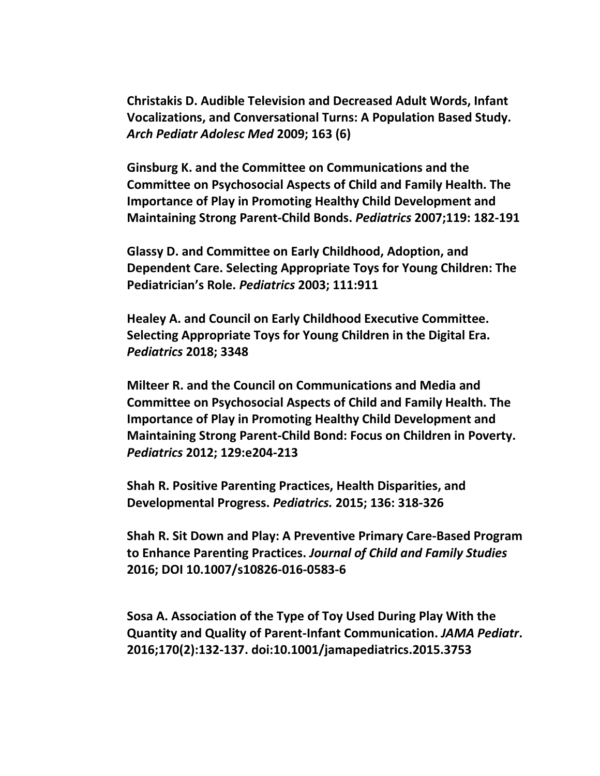**Christakis D. Audible Television and Decreased Adult Words, Infant Vocalizations, and Conversational Turns: A Population Based Study.**  *Arch Pediatr Adolesc Med* **2009; 163 (6)**

**Ginsburg K. and the Committee on Communications and the Committee on Psychosocial Aspects of Child and Family Health. The Importance of Play in Promoting Healthy Child Development and Maintaining Strong Parent-Child Bonds.** *Pediatrics* **2007;119: 182-191**

**Glassy D. and Committee on Early Childhood, Adoption, and Dependent Care. Selecting Appropriate Toys for Young Children: The Pediatrician's Role.** *Pediatrics* **2003; 111:911**

**Healey A. and Council on Early Childhood Executive Committee. Selecting Appropriate Toys for Young Children in the Digital Era.**  *Pediatrics* **2018; 3348** 

**Milteer R. and the Council on Communications and Media and Committee on Psychosocial Aspects of Child and Family Health. The Importance of Play in Promoting Healthy Child Development and Maintaining Strong Parent-Child Bond: Focus on Children in Poverty.**  *Pediatrics* **2012; 129:e204-213**

**Shah R. Positive Parenting Practices, Health Disparities, and Developmental Progress.** *Pediatrics.* **2015; 136: 318-326**

**Shah R. Sit Down and Play: A Preventive Primary Care-Based Program to Enhance Parenting Practices.** *Journal of Child and Family Studies* **2016; DOI 10.1007/s10826-016-0583-6**

**Sosa A. Association of the Type of Toy Used During Play With the Quantity and Quality of Parent-Infant Communication.** *JAMA Pediatr***. 2016;170(2):132-137. doi:10.1001/jamapediatrics.2015.3753**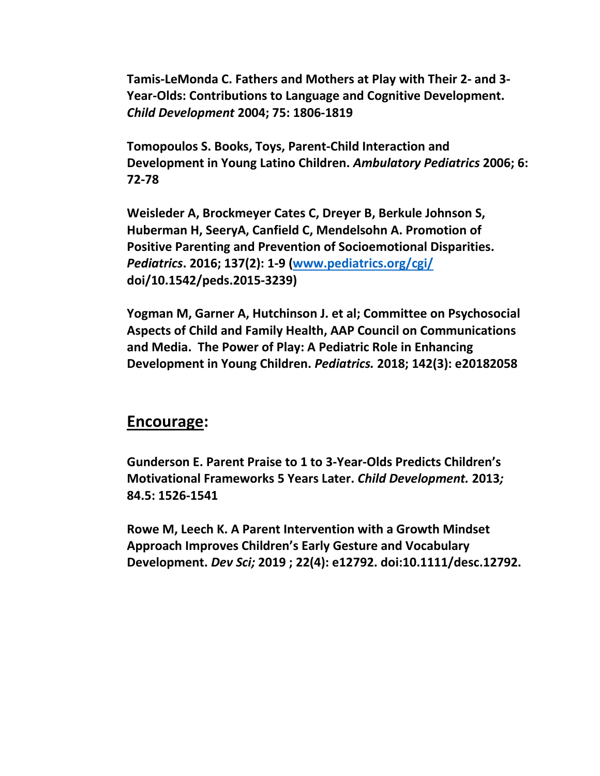**Tamis-LeMonda C. Fathers and Mothers at Play with Their 2- and 3- Year-Olds: Contributions to Language and Cognitive Development.**  *Child Development* **2004; 75: 1806-1819**

**Tomopoulos S. Books, Toys, Parent-Child Interaction and Development in Young Latino Children.** *Ambulatory Pediatrics* **2006; 6: 72-78**

**Weisleder A, Brockmeyer Cates C, Dreyer B, Berkule Johnson S, Huberman H, SeeryA, Canfield C, Mendelsohn A. Promotion of Positive Parenting and Prevention of Socioemotional Disparities.**  *Pediatrics***. 2016; 137(2): 1-9 [\(www.pediatrics.org/cgi/](http://www.pediatrics.org/cgi/) doi/10.1542/peds.2015-3239)**

**Yogman M, Garner A, Hutchinson J. et al; Committee on Psychosocial Aspects of Child and Family Health, AAP Council on Communications and Media. The Power of Play: A Pediatric Role in Enhancing Development in Young Children.** *Pediatrics.* **2018; 142(3): e20182058**

#### **Encourage:**

**Gunderson E. Parent Praise to 1 to 3-Year-Olds Predicts Children's Motivational Frameworks 5 Years Later.** *Child Development.* **2013***;*  **84.5: 1526-1541**

**Rowe M, Leech K. A Parent Intervention with a Growth Mindset Approach Improves Children's Early Gesture and Vocabulary Development.** *Dev Sci;* **2019 ; 22(4): e12792. doi:10.1111/desc.12792.**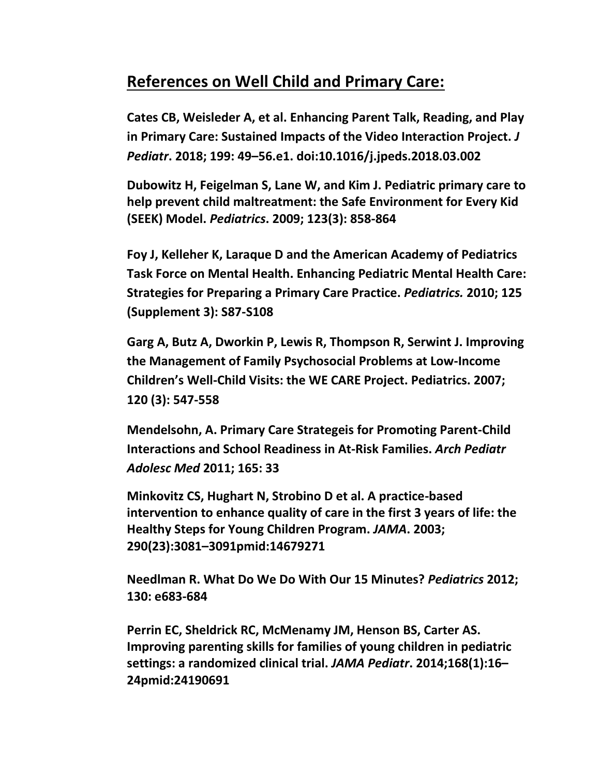### **References on Well Child and Primary Care:**

**Cates CB, Weisleder A, et al. Enhancing Parent Talk, Reading, and Play in Primary Care: Sustained Impacts of the Video Interaction Project.** *J Pediatr***. 2018; 199: 49–56.e1. doi:10.1016/j.jpeds.2018.03.002**

**Dubowitz H, Feigelman S, Lane W, and Kim J. Pediatric primary care to help prevent child maltreatment: the Safe Environment for Every Kid (SEEK) Model.** *Pediatrics***. 2009; 123(3): 858-864**

**Foy J, Kelleher K, Laraque D and the American Academy of Pediatrics Task Force on Mental Health. Enhancing Pediatric Mental Health Care: Strategies for Preparing a Primary Care Practice.** *Pediatrics.* **2010; 125 (Supplement 3): S87-S108**

**Garg A, Butz A, Dworkin P, Lewis R, Thompson R, Serwint J. Improving the Management of Family Psychosocial Problems at Low-Income Children's Well-Child Visits: the WE CARE Project. Pediatrics. 2007; 120 (3): 547-558**

**Mendelsohn, A. Primary Care Strategeis for Promoting Parent-Child Interactions and School Readiness in At-Risk Families.** *Arch Pediatr Adolesc Med* **2011; 165: 33**

**Minkovitz CS, Hughart N, Strobino D et al. A practice-based intervention to enhance quality of care in the first 3 years of life: the Healthy Steps for Young Children Program.** *JAMA***. 2003; 290(23):3081–3091pmid:14679271**

**Needlman R. What Do We Do With Our 15 Minutes?** *Pediatrics* **2012; 130: e683-684**

**Perrin EC, Sheldrick RC, McMenamy JM, Henson BS, Carter AS. Improving parenting skills for families of young children in pediatric settings: a randomized clinical trial.** *JAMA Pediatr***. 2014;168(1):16– 24pmid:24190691**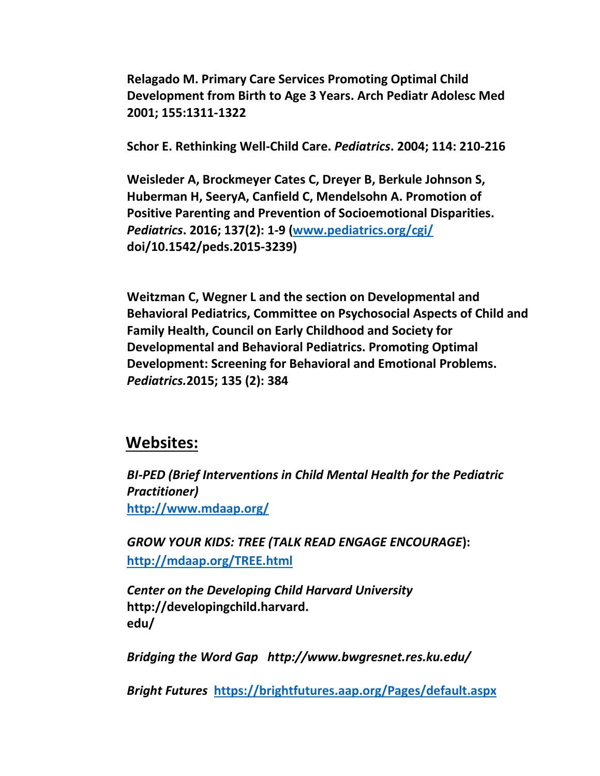**Relagado M. Primary Care Services Promoting Optimal Child Development from Birth to Age 3 Years. Arch Pediatr Adolesc Med 2001; 155:1311-1322**

**Schor E. Rethinking Well-Child Care.** *Pediatrics***. 2004; 114: 210-216**

**Weisleder A, Brockmeyer Cates C, Dreyer B, Berkule Johnson S, Huberman H, SeeryA, Canfield C, Mendelsohn A. Promotion of Positive Parenting and Prevention of Socioemotional Disparities.**  *Pediatrics***. 2016; 137(2): 1-9 [\(www.pediatrics.org/cgi/](http://www.pediatrics.org/cgi/) doi/10.1542/peds.2015-3239)**

**Weitzman C, Wegner L and the section on Developmental and Behavioral Pediatrics, Committee on Psychosocial Aspects of Child and Family Health, Council on Early Childhood and Society for Developmental and Behavioral Pediatrics. Promoting Optimal Development: Screening for Behavioral and Emotional Problems.**  *Pediatrics.***2015; 135 (2): 384**

#### **Websites:**

*BI-PED (Brief Interventions in Child Mental Health for the Pediatric Practitioner)* **<http://www.mdaap.org/>**

*GROW YOUR KIDS: TREE (TALK READ ENGAGE ENCOURAGE***): <http://mdaap.org/TREE.html>**

*Center on the Developing Child Harvard University*  **http://developingchild.harvard. edu/**

*Bridging the Word Gap http://www.bwgresnet.res.ku.edu/*

*Bright Futures* **<https://brightfutures.aap.org/Pages/default.aspx>**